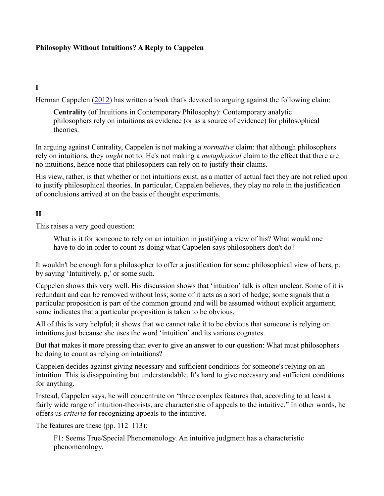### Philosophy Without Intuitions? A Reply to Cappelen

## I

Herman Cappelen (2012) has written a book that's devoted to arguing against the following claim:

 Centrality (of Intuitions in Contemporary Philosophy): Contemporary analytic philosophers rely on intuitions as evidence (or as a source of evidence) for philosophical theories.

In arguing against Centrality, Cappelen is not making a *normative* claim: that although philosophers rely on intuitions, they *ought* not to. He's not making a *metaphysical* claim to the effect that there are no intuitions, hence none that philosophers can rely on to justify their claims.

 His view, rather, is that whether or not intuitions exist, as a matter of actual fact they are not relied upon to justify philosophical theories. In particular, Cappelen believes, they play no role in the justification of conclusions arrived at on the basis of thought experiments.

## II

This raises a very good question:

 What is it for someone to rely on an intuition in justifying a view of his? What would one have to do in order to count as doing what Cappelen says philosophers don't do?

 It wouldn't be enough for a philosopher to offer a justification for some philosophical view of hers, p, by saying 'Intuitively, p,' or some such.

 Cappelen shows this very well. His discussion shows that 'intuition' talk is often unclear. Some of it is redundant and can be removed without loss; some of it acts as a sort of hedge; some signals that a particular proposition is part of the common ground and will be assumed without explicit argument; some indicates that a particular proposition is taken to be obvious.

 All of this is very helpful; it shows that we cannot take it to be obvious that someone is relying on intuitions just because she uses the word 'intuition' and its various cognates.

 But that makes it more pressing than ever to give an answer to our question: What must philosophers be doing to count as relying on intuitions?

 Cappelen decides against giving necessary and sufficient conditions for someone's relying on an intuition. This is disappointing but understandable. It's hard to give necessary and sufficient conditions for anything.

 Instead, Cappelen says, he will concentrate on "three complex features that, according to at least a fairly wide range of intuition-theorists, are characteristic of appeals to the intuitive." In other words, he offers us *criteria* for recognizing appeals to the intuitive.

The features are these (pp. 112–113):

 F1: Seems True/Special Phenomenology. An intuitive judgment has a characteristic phenomenology.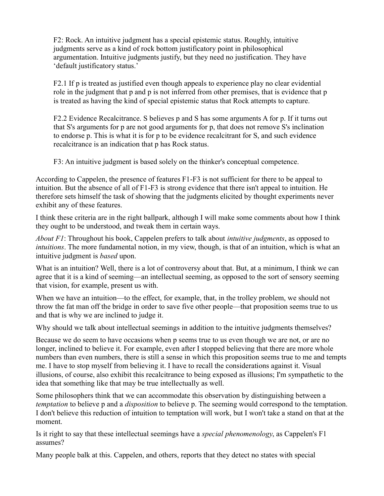F2: Rock. An intuitive judgment has a special epistemic status. Roughly, intuitive judgments serve as a kind of rock bottom justificatory point in philosophical argumentation. Intuitive judgments justify, but they need no justification. They have 'default justificatory status.'

 F2.1 If p is treated as justified even though appeals to experience play no clear evidential role in the judgment that p and p is not inferred from other premises, that is evidence that p is treated as having the kind of special epistemic status that Rock attempts to capture.

 F2.2 Evidence Recalcitrance. S believes p and S has some arguments A for p. If it turns out that S's arguments for p are not good arguments for p, that does not remove S's inclination to endorse p. This is what it is for p to be evidence recalcitrant for S, and such evidence recalcitrance is an indication that p has Rock status.

F3: An intuitive judgment is based solely on the thinker's conceptual competence.

 According to Cappelen, the presence of features F1-F3 is not sufficient for there to be appeal to intuition. But the absence of all of F1-F3 is strong evidence that there isn't appeal to intuition. He therefore sets himself the task of showing that the judgments elicited by thought experiments never exhibit any of these features.

 I think these criteria are in the right ballpark, although I will make some comments about how I think they ought to be understood, and tweak them in certain ways.

About F1: Throughout his book, Cappelen prefers to talk about *intuitive judgments*, as opposed to intuitions. The more fundamental notion, in my view, though, is that of an intuition, which is what an intuitive judgment is based upon.

 What is an intuition? Well, there is a lot of controversy about that. But, at a minimum, I think we can agree that it is a kind of seeming—an intellectual seeming, as opposed to the sort of sensory seeming that vision, for example, present us with.

 When we have an intuition—to the effect, for example, that, in the trolley problem, we should not throw the fat man off the bridge in order to save five other people—that proposition seems true to us and that is why we are inclined to judge it.

Why should we talk about intellectual seemings in addition to the intuitive judgments themselves?

 Because we do seem to have occasions when p seems true to us even though we are not, or are no longer, inclined to believe it. For example, even after I stopped believing that there are more whole numbers than even numbers, there is still a sense in which this proposition seems true to me and tempts me. I have to stop myself from believing it. I have to recall the considerations against it. Visual illusions, of course, also exhibit this recalcitrance to being exposed as illusions; I'm sympathetic to the idea that something like that may be true intellectually as well.

 Some philosophers think that we can accommodate this observation by distinguishing between a temptation to believe p and a *disposition* to believe p. The seeming would correspond to the temptation. I don't believe this reduction of intuition to temptation will work, but I won't take a stand on that at the moment.

Is it right to say that these intellectual seemings have a special phenomenology, as Cappelen's F1 assumes?

Many people balk at this. Cappelen, and others, reports that they detect no states with special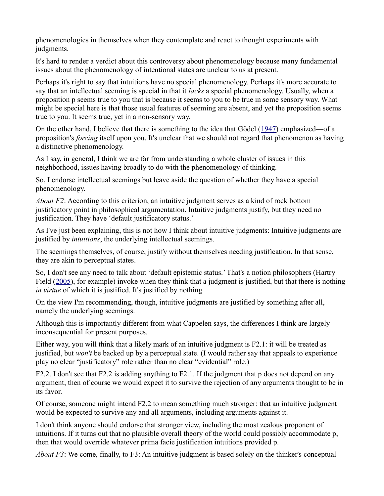phenomenologies in themselves when they contemplate and react to thought experiments with judgments.

 It's hard to render a verdict about this controversy about phenomenology because many fundamental issues about the phenomenology of intentional states are unclear to us at present.

 Perhaps it's right to say that intuitions have no special phenomenology. Perhaps it's more accurate to say that an intellectual seeming is special in that it *lacks* a special phenomenology. Usually, when a proposition p seems true to you that is because it seems to you to be true in some sensory way. What might be special here is that those usual features of seeming are absent, and yet the proposition seems true to you. It seems true, yet in a non-sensory way.

On the other hand, I believe that there is something to the idea that Gödel  $(1947)$  emphasized—of a proposition's *forcing* itself upon you. It's unclear that we should not regard that phenomenon as having a distinctive phenomenology.

 As I say, in general, I think we are far from understanding a whole cluster of issues in this neighborhood, issues having broadly to do with the phenomenology of thinking.

 So, I endorse intellectual seemings but leave aside the question of whether they have a special phenomenology.

About  $F2$ : According to this criterion, an intuitive judgment serves as a kind of rock bottom justificatory point in philosophical argumentation. Intuitive judgments justify, but they need no justification. They have 'default justificatory status.'

 As I've just been explaining, this is not how I think about intuitive judgments: Intuitive judgments are justified by *intuitions*, the underlying intellectual seemings.

 The seemings themselves, of course, justify without themselves needing justification. In that sense, they are akin to perceptual states.

 So, I don't see any need to talk about 'default epistemic status.' That's a notion philosophers (Hartry Field (2005), for example) invoke when they think that a judgment is justified, but that there is nothing in virtue of which it is justified. It's justified by nothing.

 On the view I'm recommending, though, intuitive judgments are justified by something after all, namely the underlying seemings.

 Although this is importantly different from what Cappelen says, the differences I think are largely inconsequential for present purposes.

 Either way, you will think that a likely mark of an intuitive judgment is F2.1: it will be treated as justified, but won't be backed up by a perceptual state. (I would rather say that appeals to experience play no clear "justificatory" role rather than no clear "evidential" role.)

 F2.2. I don't see that F2.2 is adding anything to F2.1. If the judgment that p does not depend on any argument, then of course we would expect it to survive the rejection of any arguments thought to be in its favor.

 Of course, someone might intend F2.2 to mean something much stronger: that an intuitive judgment would be expected to survive any and all arguments, including arguments against it.

 I don't think anyone should endorse that stronger view, including the most zealous proponent of intuitions. If it turns out that no plausible overall theory of the world could possibly accommodate p, then that would override whatever prima facie justification intuitions provided p.

About  $F3$ : We come, finally, to  $F3$ : An intuitive judgment is based solely on the thinker's conceptual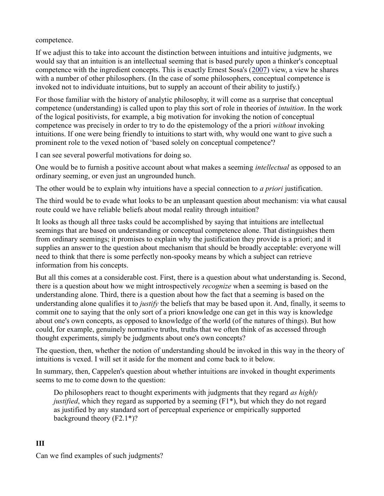competence.

 If we adjust this to take into account the distinction between intuitions and intuitive judgments, we would say that an intuition is an intellectual seeming that is based purely upon a thinker's conceptual competence with the ingredient concepts. This is exactly Ernest Sosa's (2007) view, a view he shares with a number of other philosophers. (In the case of some philosophers, conceptual competence is invoked not to individuate intuitions, but to supply an account of their ability to justify.)

 For those familiar with the history of analytic philosophy, it will come as a surprise that conceptual competence (understanding) is called upon to play this sort of role in theories of *intuition*. In the work of the logical positivists, for example, a big motivation for invoking the notion of conceptual competence was precisely in order to try to do the epistemology of the a priori without invoking intuitions. If one were being friendly to intuitions to start with, why would one want to give such a prominent role to the vexed notion of 'based solely on conceptual competence'?

I can see several powerful motivations for doing so.

One would be to furnish a positive account about what makes a seeming *intellectual* as opposed to an ordinary seeming, or even just an ungrounded hunch.

The other would be to explain why intuitions have a special connection to *a priori* justification.

 The third would be to evade what looks to be an unpleasant question about mechanism: via what causal route could we have reliable beliefs about modal reality through intuition?

 It looks as though all three tasks could be accomplished by saying that intuitions are intellectual seemings that are based on understanding or conceptual competence alone. That distinguishes them from ordinary seemings; it promises to explain why the justification they provide is a priori; and it supplies an answer to the question about mechanism that should be broadly acceptable: everyone will need to think that there is some perfectly non-spooky means by which a subject can retrieve information from his concepts.

 But all this comes at a considerable cost. First, there is a question about what understanding is. Second, there is a question about how we might introspectively *recognize* when a seeming is based on the understanding alone. Third, there is a question about how the fact that a seeming is based on the understanding alone qualifies it to *justify* the beliefs that may be based upon it. And, finally, it seems to commit one to saying that the only sort of a priori knowledge one can get in this way is knowledge about one's own concepts, as opposed to knowledge of the world (of the natures of things). But how could, for example, genuinely normative truths, truths that we often think of as accessed through thought experiments, simply be judgments about one's own concepts?

 The question, then, whether the notion of understanding should be invoked in this way in the theory of intuitions is vexed. I will set it aside for the moment and come back to it below.

 In summary, then, Cappelen's question about whether intuitions are invoked in thought experiments seems to me to come down to the question:

Do philosophers react to thought experiments with judgments that they regard as highly justified, which they regard as supported by a seeming (F1\*), but which they do not regard as justified by any standard sort of perceptual experience or empirically supported background theory (F2.1\*)?

### III

Can we find examples of such judgments?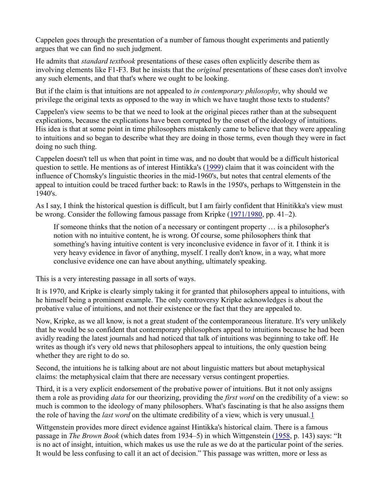Cappelen goes through the presentation of a number of famous thought experiments and patiently argues that we can find no such judgment.

He admits that *standard textbook* presentations of these cases often explicitly describe them as involving elements like F1-F3. But he insists that the *original* presentations of these cases don't involve any such elements, and that that's where we ought to be looking.

But if the claim is that intuitions are not appealed to in contemporary philosophy, why should we privilege the original texts as opposed to the way in which we have taught those texts to students?

 Cappelen's view seems to be that we need to look at the original pieces rather than at the subsequent explications, because the explications have been corrupted by the onset of the ideology of intuitions. His idea is that at some point in time philosophers mistakenly came to believe that they were appealing to intuitions and so began to describe what they are doing in those terms, even though they were in fact doing no such thing.

 Cappelen doesn't tell us when that point in time was, and no doubt that would be a difficult historical question to settle. He mentions as of interest Hintikka's (1999) claim that it was coincident with the influence of Chomsky's linguistic theories in the mid-1960's, but notes that central elements of the appeal to intuition could be traced further back: to Rawls in the 1950's, perhaps to Wittgenstein in the 1940's.

 As I say, I think the historical question is difficult, but I am fairly confident that Hinitikka's view must be wrong. Consider the following famous passage from Kripke (1971/1980, pp. 41–2).

 If someone thinks that the notion of a necessary or contingent property … is a philosopher's notion with no intuitive content, he is wrong. Of course, some philosophers think that something's having intuitive content is very inconclusive evidence in favor of it. I think it is very heavy evidence in favor of anything, myself. I really don't know, in a way, what more conclusive evidence one can have about anything, ultimately speaking.

This is a very interesting passage in all sorts of ways.

 It is 1970, and Kripke is clearly simply taking it for granted that philosophers appeal to intuitions, with he himself being a prominent example. The only controversy Kripke acknowledges is about the probative value of intuitions, and not their existence or the fact that they are appealed to.

 Now, Kripke, as we all know, is not a great student of the contemporaneous literature. It's very unlikely that he would be so confident that contemporary philosophers appeal to intuitions because he had been avidly reading the latest journals and had noticed that talk of intuitions was beginning to take off. He writes as though it's very old news that philosophers appeal to intuitions, the only question being whether they are right to do so.

 Second, the intuitions he is talking about are not about linguistic matters but about metaphysical claims: the metaphysical claim that there are necessary versus contingent properties.

 Third, it is a very explicit endorsement of the probative power of intuitions. But it not only assigns them a role as providing *data* for our theorizing, providing the *first word* on the credibility of a view: so much is common to the ideology of many philosophers. What's fascinating is that he also assigns them the role of having the *last word* on the ultimate credibility of a view, which is very unusual.1

 Wittgenstein provides more direct evidence against Hintikka's historical claim. There is a famous passage in The Brown Book (which dates from 1934–5) in which Wittgenstein (1958, p. 143) says: "It is no act of insight, intuition, which makes us use the rule as we do at the particular point of the series. It would be less confusing to call it an act of decision." This passage was written, more or less as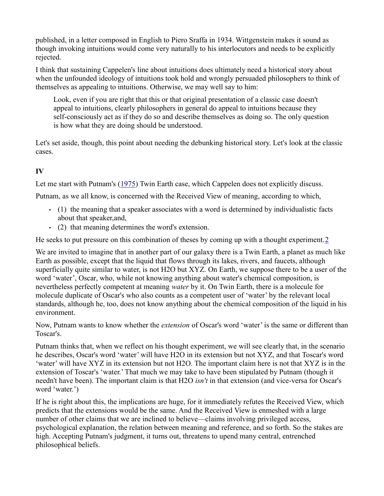published, in a letter composed in English to Piero Sraffa in 1934. Wittgenstein makes it sound as though invoking intuitions would come very naturally to his interlocutors and needs to be explicitly rejected.

 I think that sustaining Cappelen's line about intuitions does ultimately need a historical story about when the unfounded ideology of intuitions took hold and wrongly persuaded philosophers to think of themselves as appealing to intuitions. Otherwise, we may well say to him:

 Look, even if you are right that this or that original presentation of a classic case doesn't appeal to intuitions, clearly philosophers in general do appeal to intuitions because they self-consciously act as if they do so and describe themselves as doing so. The only question is how what they are doing should be understood.

 Let's set aside, though, this point about needing the debunking historical story. Let's look at the classic cases.

## IV

Let me start with Putnam's (1975) Twin Earth case, which Cappelen does not explicitly discuss.

Putnam, as we all know, is concerned with the Received View of meaning, according to which,

- (1) the meaning that a speaker associates with a word is determined by individualistic facts about that speaker,and,
- (2) that meaning determines the word's extension.

He seeks to put pressure on this combination of theses by coming up with a thought experiment. 2

 We are invited to imagine that in another part of our galaxy there is a Twin Earth, a planet as much like Earth as possible, except that the liquid that flows through its lakes, rivers, and faucets, although superficially quite similar to water, is not H2O but XYZ. On Earth, we suppose there to be a user of the word 'water', Oscar, who, while not knowing anything about water's chemical composition, is nevertheless perfectly competent at meaning water by it. On Twin Earth, there is a molecule for molecule duplicate of Oscar's who also counts as a competent user of 'water' by the relevant local standards, although he, too, does not know anything about the chemical composition of the liquid in his environment.

Now, Putnam wants to know whether the *extension* of Oscar's word 'water' is the same or different than Toscar's.

 Putnam thinks that, when we reflect on his thought experiment, we will see clearly that, in the scenario he describes, Oscar's word 'water' will have H2O in its extension but not XYZ, and that Toscar's word 'water' will have XYZ in its extension but not H2O. The important claim here is not that XYZ is in the extension of Toscar's 'water.' That much we may take to have been stipulated by Putnam (though it needn't have been). The important claim is that H2O *isn't* in that extension (and vice-versa for Oscar's word 'water.')

 If he is right about this, the implications are huge, for it immediately refutes the Received View, which predicts that the extensions would be the same. And the Received View is enmeshed with a large number of other claims that we are inclined to believe—claims involving privileged access, psychological explanation, the relation between meaning and reference, and so forth. So the stakes are high. Accepting Putnam's judgment, it turns out, threatens to upend many central, entrenched philosophical beliefs.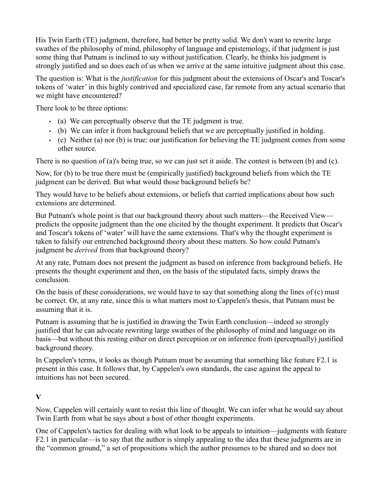His Twin Earth (TE) judgment, therefore, had better be pretty solid. We don't want to rewrite large swathes of the philosophy of mind, philosophy of language and epistemology, if that judgment is just some thing that Putnam is inclined to say without justification. Clearly, he thinks his judgment is strongly justified and so does each of us when we arrive at the same intuitive judgment about this case.

The question is: What is the *justification* for this judgment about the extensions of Oscar's and Toscar's tokens of 'water' in this highly contrived and specialized case, far remote from any actual scenario that we might have encountered?

There look to be three options:

- (a) We can perceptually observe that the TE judgment is true.
- (b) We can infer it from background beliefs that we are perceptually justified in holding.
- (c) Neither (a) nor (b) is true: our justification for believing the TE judgment comes from some other source.

There is no question of (a)'s being true, so we can just set it aside. The contest is between (b) and (c).

 Now, for (b) to be true there must be (empirically justified) background beliefs from which the TE judgment can be derived. But what would those background beliefs be?

 They would have to be beliefs about extensions, or beliefs that carried implications about how such extensions are determined.

 But Putnam's whole point is that our background theory about such matters—the Received View— predicts the opposite judgment than the one elicited by the thought experiment. It predicts that Oscar's and Toscar's tokens of 'water' will have the same extensions. That's why the thought experiment is taken to falsify our entrenched background theory about these matters. So how could Putnam's judgment be *derived* from that background theory?

 At any rate, Putnam does not present the judgment as based on inference from background beliefs. He presents the thought experiment and then, on the basis of the stipulated facts, simply draws the conclusion.

 On the basis of these considerations, we would have to say that something along the lines of (c) must be correct. Or, at any rate, since this is what matters most to Cappelen's thesis, that Putnam must be assuming that it is.

 Putnam is assuming that he is justified in drawing the Twin Earth conclusion—indeed so strongly justified that he can advocate rewriting large swathes of the philosophy of mind and language on its basis—but without this resting either on direct perception or on inference from (perceptually) justified background theory.

 In Cappelen's terms, it looks as though Putnam must be assuming that something like feature F2.1 is present in this case. It follows that, by Cappelen's own standards, the case against the appeal to intuitions has not been secured.

### V

 Now, Cappelen will certainly want to resist this line of thought. We can infer what he would say about Twin Earth from what he says about a host of other thought experiments.

 One of Cappelen's tactics for dealing with what look to be appeals to intuition—judgments with feature F2.1 in particular—is to say that the author is simply appealing to the idea that these judgments are in the "common ground," a set of propositions which the author presumes to be shared and so does not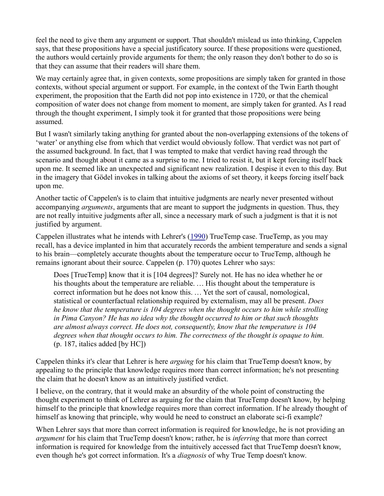feel the need to give them any argument or support. That shouldn't mislead us into thinking, Cappelen says, that these propositions have a special justificatory source. If these propositions were questioned, the authors would certainly provide arguments for them; the only reason they don't bother to do so is that they can assume that their readers will share them.

 We may certainly agree that, in given contexts, some propositions are simply taken for granted in those contexts, without special argument or support. For example, in the context of the Twin Earth thought experiment, the proposition that the Earth did not pop into existence in 1720, or that the chemical composition of water does not change from moment to moment, are simply taken for granted. As I read through the thought experiment, I simply took it for granted that those propositions were being assumed.

 But I wasn't similarly taking anything for granted about the non-overlapping extensions of the tokens of 'water' or anything else from which that verdict would obviously follow. That verdict was not part of the assumed background. In fact, that I was tempted to make that verdict having read through the scenario and thought about it came as a surprise to me. I tried to resist it, but it kept forcing itself back upon me. It seemed like an unexpected and significant new realization. I despise it even to this day. But in the imagery that Gödel invokes in talking about the axioms of set theory, it keeps forcing itself back upon me.

 Another tactic of Cappelen's is to claim that intuitive judgments are nearly never presented without accompanying *arguments*, arguments that are meant to support the judgments in question. Thus, they are not really intuitive judgments after all, since a necessary mark of such a judgment is that it is not justified by argument.

Cappelen illustrates what he intends with Lehrer's (1990) TrueTemp case. TrueTemp, as you may recall, has a device implanted in him that accurately records the ambient temperature and sends a signal to his brain—completely accurate thoughts about the temperature occur to TrueTemp, although he remains ignorant about their source. Cappelen (p. 170) quotes Lehrer who says:

 Does [TrueTemp] know that it is [104 degrees]? Surely not. He has no idea whether he or     his thoughts about the temperature are reliable. … His thought about the temperature is     correct information but he does not know this. … Yet the sort of causal, nomological, statistical or counterfactual relationship required by externalism, may all be present. *Does*  he know that the temperature is 104 degrees when the thought occurs to him while strolling in Pima Canyon? He has no idea why the thought occurred to him or that such thoughts are almost always correct. He does not, consequently, know that the temperature is 104 degrees when that thought occurs to him. The correctness of the thought is opaque to him. (p. 187, italics added [by HC])

Cappelen thinks it's clear that Lehrer is here arguing for his claim that TrueTemp doesn't know, by appealing to the principle that knowledge requires more than correct information; he's not presenting the claim that he doesn't know as an intuitively justified verdict.

 I believe, on the contrary, that it would make an absurdity of the whole point of constructing the thought experiment to think of Lehrer as arguing for the claim that TrueTemp doesn't know, by helping himself to the principle that knowledge requires more than correct information. If he already thought of himself as knowing that principle, why would he need to construct an elaborate sci-fi example?

 When Lehrer says that more than correct information is required for knowledge, he is not providing an argument for his claim that TrueTemp doesn't know; rather, he is *inferring* that more than correct information is required for knowledge from the intuitively accessed fact that TrueTemp doesn't know, even though he's got correct information. It's a *diagnosis* of why True Temp doesn't know.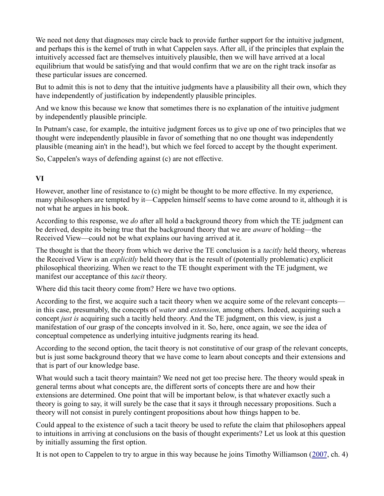We need not deny that diagnoses may circle back to provide further support for the intuitive judgment, and perhaps this is the kernel of truth in what Cappelen says. After all, if the principles that explain the intuitively accessed fact are themselves intuitively plausible, then we will have arrived at a local equilibrium that would be satisfying and that would confirm that we are on the right track insofar as these particular issues are concerned.

 But to admit this is not to deny that the intuitive judgments have a plausibility all their own, which they have independently of justification by independently plausible principles.

 And we know this because we know that sometimes there is no explanation of the intuitive judgment by independently plausible principle.

 In Putnam's case, for example, the intuitive judgment forces us to give up one of two principles that we thought were independently plausible in favor of something that no one thought was independently plausible (meaning ain't in the head!), but which we feel forced to accept by the thought experiment.

So, Cappelen's ways of defending against (c) are not effective.

# VI

 However, another line of resistance to (c) might be thought to be more effective. In my experience, many philosophers are tempted by it—Cappelen himself seems to have come around to it, although it is not what he argues in his book.

According to this response, we *do* after all hold a background theory from which the TE judgment can be derived, despite its being true that the background theory that we are *aware* of holding—the Received View—could not be what explains our having arrived at it.

The thought is that the theory from which we derive the TE conclusion is a *tacitly* held theory, whereas the Received View is an *explicitly* held theory that is the result of (potentially problematic) explicit philosophical theorizing. When we react to the TE thought experiment with the TE judgment, we manifest our acceptance of this *tacit* theory.

Where did this tacit theory come from? Here we have two options.

 According to the first, we acquire such a tacit theory when we acquire some of the relevant concepts in this case, presumably, the concepts of water and extension, among others. Indeed, acquiring such a concept just is acquiring such a tacitly held theory. And the TE judgment, on this view, is just a manifestation of our grasp of the concepts involved in it. So, here, once again, we see the idea of conceptual competence as underlying intuitive judgments rearing its head.

 According to the second option, the tacit theory is not constitutive of our grasp of the relevant concepts, but is just some background theory that we have come to learn about concepts and their extensions and that is part of our knowledge base.

 What would such a tacit theory maintain? We need not get too precise here. The theory would speak in general terms about what concepts are, the different sorts of concepts there are and how their extensions are determined. One point that will be important below, is that whatever exactly such a theory is going to say, it will surely be the case that it says it through necessary propositions. Such a theory will not consist in purely contingent propositions about how things happen to be.

 Could appeal to the existence of such a tacit theory be used to refute the claim that philosophers appeal to intuitions in arriving at conclusions on the basis of thought experiments? Let us look at this question by initially assuming the first option.

It is not open to Cappelen to try to argue in this way because he joins Timothy Williamson (2007, ch. 4)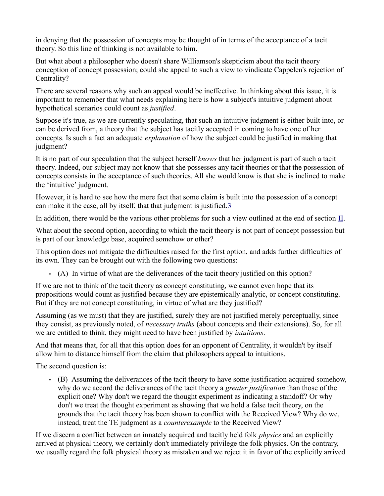in denying that the possession of concepts may be thought of in terms of the acceptance of a tacit theory. So this line of thinking is not available to him.

 But what about a philosopher who doesn't share Williamson's skepticism about the tacit theory conception of concept possession; could she appeal to such a view to vindicate Cappelen's rejection of Centrality?

 There are several reasons why such an appeal would be ineffective. In thinking about this issue, it is important to remember that what needs explaining here is how a subject's intuitive judgment about hypothetical scenarios could count as justified.

 Suppose it's true, as we are currently speculating, that such an intuitive judgment is either built into, or can be derived from, a theory that the subject has tacitly accepted in coming to have one of her concepts. Is such a fact an adequate *explanation* of how the subject could be justified in making that judgment?

It is no part of our speculation that the subject herself knows that her judgment is part of such a tacit theory. Indeed, our subject may not know that she possesses any tacit theories or that the possession of concepts consists in the acceptance of such theories. All she would know is that she is inclined to make the 'intuitive' judgment.

 However, it is hard to see how the mere fact that some claim is built into the possession of a concept can make it the case, all by itself, that that judgment is justified.<sup>3</sup>

In addition, there would be the various other problems for such a view outlined at the end of section  $II$ .

 What about the second option, according to which the tacit theory is not part of concept possession but is part of our knowledge base, acquired somehow or other?

 This option does not mitigate the difficulties raised for the first option, and adds further difficulties of its own. They can be brought out with the following two questions:

• (A) In virtue of what are the deliverances of the tacit theory justified on this option?

 If we are not to think of the tacit theory as concept constituting, we cannot even hope that its propositions would count as justified because they are epistemically analytic, or concept constituting. But if they are not concept constituting, in virtue of what are they justified?

 Assuming (as we must) that they are justified, surely they are not justified merely perceptually, since they consist, as previously noted, of *necessary truths* (about concepts and their extensions). So, for all we are entitled to think, they might need to have been justified by *intuitions*.

 And that means that, for all that this option does for an opponent of Centrality, it wouldn't by itself allow him to distance himself from the claim that philosophers appeal to intuitions.

The second question is:

 • (B) Assuming the deliverances of the tacit theory to have some justification acquired somehow, why do we accord the deliverances of the tacit theory a greater justification than those of the explicit one? Why don't we regard the thought experiment as indicating a standoff? Or why don't we treat the thought experiment as showing that we hold a false tacit theory, on the grounds that the tacit theory has been shown to conflict with the Received View? Why do we, instead, treat the TE judgment as a counterexample to the Received View?

If we discern a conflict between an innately acquired and tacitly held folk *physics* and an explicitly arrived at physical theory, we certainly don't immediately privilege the folk physics. On the contrary, we usually regard the folk physical theory as mistaken and we reject it in favor of the explicitly arrived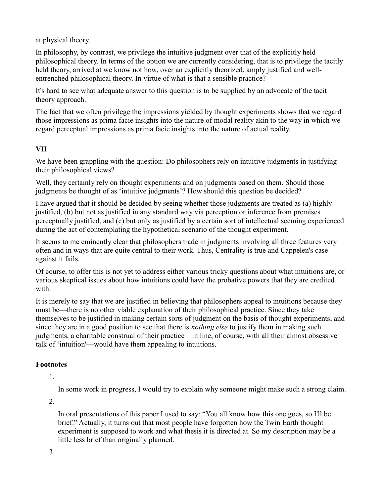at physical theory.

 In philosophy, by contrast, we privilege the intuitive judgment over that of the explicitly held philosophical theory. In terms of the option we are currently considering, that is to privilege the tacitly held theory, arrived at we know not how, over an explicitly theorized, amply justified and well-entrenched philosophical theory. In virtue of what is that a sensible practice?

 It's hard to see what adequate answer to this question is to be supplied by an advocate of the tacit theory approach.

 The fact that we often privilege the impressions yielded by thought experiments shows that we regard those impressions as prima facie insights into the nature of modal reality akin to the way in which we regard perceptual impressions as prima facie insights into the nature of actual reality.

## VII

 We have been grappling with the question: Do philosophers rely on intuitive judgments in justifying their philosophical views?

 Well, they certainly rely on thought experiments and on judgments based on them. Should those judgments be thought of as 'intuitive judgments'? How should this question be decided?

 I have argued that it should be decided by seeing whether those judgments are treated as (a) highly justified, (b) but not as justified in any standard way via perception or inference from premises perceptually justified, and (c) but only as justified by a certain sort of intellectual seeming experienced during the act of contemplating the hypothetical scenario of the thought experiment.

 It seems to me eminently clear that philosophers trade in judgments involving all three features very often and in ways that are quite central to their work. Thus, Centrality is true and Cappelen's case against it fails.

 Of course, to offer this is not yet to address either various tricky questions about what intuitions are, or various skeptical issues about how intuitions could have the probative powers that they are credited with.

 It is merely to say that we are justified in believing that philosophers appeal to intuitions because they must be—there is no other viable explanation of their philosophical practice. Since they take themselves to be justified in making certain sorts of judgment on the basis of thought experiments, and since they are in a good position to see that there is *nothing else* to justify them in making such judgments, a charitable construal of their practice—in line, of course, with all their almost obsessive talk of 'intuition'—would have them appealing to intuitions.

## Footnotes

1.

In some work in progress, I would try to explain why someone might make such a strong claim.

2.

 In oral presentations of this paper I used to say: "You all know how this one goes, so I'll be brief." Actually, it turns out that most people have forgotten how the Twin Earth thought experiment is supposed to work and what thesis it is directed at. So my description may be a little less brief than originally planned.